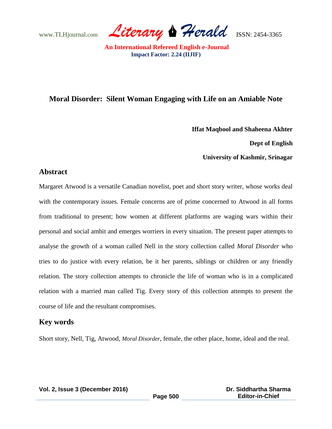www.TLHjournal.com *Literary Herald*ISSN: 2454-3365

# **Moral Disorder: Silent Woman Engaging with Life on an Amiable Note**

**Iffat Maqbool and Shaheena Akhter**

 **Dept of English** 

**University of Kashmir, Srinagar** 

### **Abstract**

Margaret Atwood is a versatile Canadian novelist, poet and short story writer, whose works deal with the contemporary issues. Female concerns are of prime concerned to Atwood in all forms from traditional to present; how women at different platforms are waging wars within their personal and social ambit and emerges worriers in every situation. The present paper attempts to analyse the growth of a woman called Nell in the story collection called *Moral Disorder* who tries to do justice with every relation, be it her parents, siblings or children or any friendly relation. The story collection attempts to chronicle the life of woman who is in a complicated relation with a married man called Tig. Every story of this collection attempts to present the course of life and the resultant compromises.

### **Key words**

Short story, Nell, Tig, Atwood, *Moral Disorder*, female, the other place, home, ideal and the real.

**Vol. 2, Issue 3 (December 2016)**

**Page 500**

 **Dr. Siddhartha Sharma Editor-in-Chief**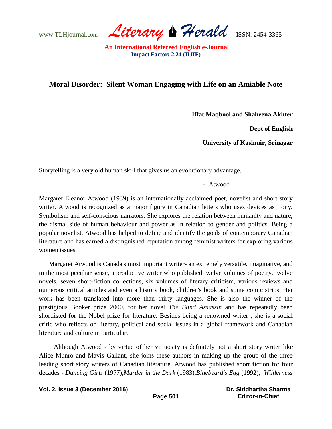www.TLHjournal.com *Literary Herald*ISSN: 2454-3365

## **Moral Disorder: Silent Woman Engaging with Life on an Amiable Note**

**Iffat Maqbool and Shaheena Akhter**

 **Dept of English** 

**University of Kashmir, Srinagar** 

Storytelling is a very old human skill that gives us an evolutionary advantage.

- Atwood

Margaret Eleanor Atwood (1939) is an internationally acclaimed poet, novelist and short story writer. Atwood is recognized as a major figure in Canadian letters who uses devices as Irony, Symbolism and self-conscious narrators. She explores the relation between humanity and nature, the dismal side of human behaviour and power as in relation to gender and politics. Being a popular novelist, Atwood has helped to define and identify the goals of contemporary Canadian literature and has earned a distinguished reputation among feminist writers for exploring various women issues.

 Margaret Atwood is Canada's most important writer- an extremely versatile, imaginative, and in the most peculiar sense, a productive writer who published twelve volumes of poetry, twelve novels, seven short-fiction collections, six volumes of literary criticism, various reviews and numerous critical articles and even a history book, children's book and some comic strips. Her work has been translated into more than thirty languages. She is also the winner of the prestigious Booker prize 2000, for her novel *The Blind Assassin* and has repeatedly been shortlisted for the Nobel prize for literature. Besides being a renowned writer , she is a social critic who reflects on literary, political and social issues in a global framework and Canadian literature and culture in particular.

 Although Atwood - by virtue of her virtuosity is definitely not a short story writer like Alice Munro and Mavis Gallant, she joins these authors in making up the group of the three leading short story writers of Canadian literature. Atwood has published short fiction for four decades - *Dancing Girls* (1977),*Murder in the Dark* (1983),*Bluebeard's Egg* (1992), *Wilderness* 

| Vol. 2, Issue 3 (December 2016) |          | Dr. Siddhartha Sharma  |  |
|---------------------------------|----------|------------------------|--|
|                                 | Page 501 | <b>Editor-in-Chief</b> |  |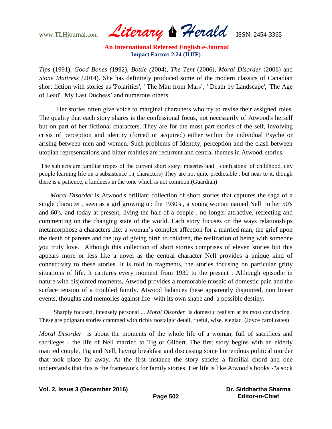www.TLHjournal.com *Literary Herald*ISSN: 2454-3365

*Tips* (1991), *Good Bones (*1992), *Bottle (*2004), *The Tent* (2006), *Moral Disorder* (2006) and *Stone Mattress (*2014). She has definitely produced some of the modern classics of Canadian short fiction with stories as 'Polarities', ' The Man from Mars', ' Death by Landscape', 'The Age of Lead', 'My Last Duchess' and numerous others.

 Her stories often give voice to marginal characters who try to revise their assigned roles. The quality that each story shares is the confessional focus, not necessarily of Atwood's herself but on part of her fictional characters. They are for the most part stories of the self, involving crisis of perception and identity (forced or acquired) either within the individual Psyche or arising between men and women. Such problems of Identity, perception and the clash between utopian representations and bitter realities are recurrent and central themes in Atwood' stories.

The subjects are familiar tropes of the current short story: miseries and confusions of childhood, city people learning life on a subsistence ...( characters) They are not quite predictable , but near to it, though there is a patience, a kindness in the tone which is not common.(Guardian)

 *Moral Disorder* is Atwood's brilliant collection of short stories that captures the saga of a single character , seen as a girl growing up the 1930's , a young woman named Nell in her 50's and 60's, and today at present, living the half of a couple , no longer attractive, reflecting and commenting on the changing state of the world. Each story focuses on the ways relationships metamorphose a characters life: a woman's complex affection for a married man, the grief upon the death of parents and the joy of giving birth to children, the realization of being with someone you truly love. Although this collection of short stories comprises of eleven stories but this appears more or less like a novel as the central character Nell provides a unique kind of connectivity to these stories. It is told in fragments, the stories focusing on particular gritty situations of life. It captures every moment from 1930 to the present . Although episodic in nature with disjointed moments, Atwood provides a memorable mosaic of domestic pain and the surface tension of a troubled family. Atwood balances these apparently disjointed, non linear events, thoughts and memories against life -with its own shape and a possible destiny.

 Sharply focused, intensely personal ... *Moral Disorder* is domestic realism at its most convincing . These are poignant stories crammed with richly nostalgic detail, rueful, wise, elegiac. (Joyce carol oates)

*Moral Disorder* is about the moments of the whole life of a woman, full of sacrifices and sacrileges - the life of Nell married to Tig or Gilbert. The first story begins with an elderly married couple, Tig and Nell, having breakfast and discussing some horrendous political murder that took place far away. At the first instance the story stricks a familial chord and one understands that this is the framework for family stories. Her life is like Atwood's books -"a sock

**Vol. 2, Issue 3 (December 2016)**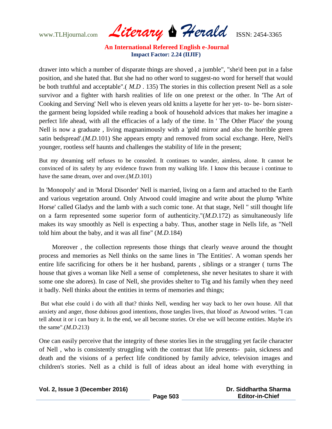www.TLHjournal.com *Literary Herald*ISSN: 2454-3365

drawer into which a number of disparate things are shoved , a jumble", "she'd been put in a false position, and she hated that. But she had no other word to suggest-no word for herself that would be both truthful and acceptable".( *M.D* . 135) The stories in this collection present Nell as a sole survivor and a fighter with harsh realities of life on one pretext or the other. In 'The Art of Cooking and Serving' Nell who is eleven years old knitts a layette for her yet- to- be- born sisterthe garment being lopsided while reading a book of household advices that makes her imagine a perfect life ahead, with all the efficacies of a lady of the time. In ' The Other Place' the young Nell is now a graduate , living magnanimously with a 'gold mirror and also the horrible green satin bedspread'.(*M.D.*101) She appears empty and removed from social exchange. Here, Nell's younger, rootless self haunts and challenges the stability of life in the present;

But my dreaming self refuses to be consoled. It continues to wander, aimless, alone. It cannot be convinced of its safety by any evidence frawn from my walking life. I know this because i continue to have the same dream, over and over.(*M.D*.101)

In 'Monopoly' and in 'Moral Disorder' Nell is married, living on a farm and attached to the Earth and various vegetation around. Only Atwood could imagine and write about the plump 'White Horse' called Gladys and the lamb with a such comic tone. At that stage, Nell " still thought life on a farm represented some superior form of authenticity."(*M.D*.172) as simultaneously life makes its way smoothly as Nell is expecting a baby. Thus, another stage in Nells life, as "Nell told him about the baby, and it was all fine" (*M.D.*184)

 Moreover , the collection represents those things that clearly weave around the thought process and memories as Nell thinks on the same lines in 'The Entities'. A woman spends her entire life sacrificing for others be it her husband, parents , siblings or a stranger ( turns The house that gives a woman like Nell a sense of completeness, she never hesitates to share it with some one she adores). In case of Nell, she provides shelter to Tig and his family when they need it badly. Nell thinks about the entities in terms of memories and things;

But what else could i do with all that? thinks Nell, wending her way back to her own house. All that anxiety and anger, those dubious good intentions, those tangles lives, that blood' as Atwood writes. "I can tell about it or i can bury it. In the end, we all become stories. Or else we will become entities. Maybe it's the same".(*M.D*.213)

One can easily perceive that the integrity of these stories lies in the struggling yet facile character of Nell , who is consistently struggling with the contrast that life presents- pain, sickness and death and the visions of a perfect life conditioned by family advice, television images and children's stories. Nell as a child is full of ideas about an ideal home with everything in

|  |  |  | Vol. 2, Issue 3 (December 2016) |  |
|--|--|--|---------------------------------|--|
|--|--|--|---------------------------------|--|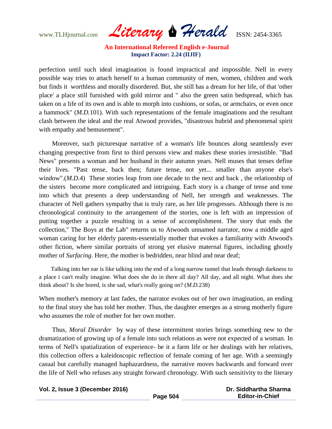www.TLHjournal.com *Literary Herald*ISSN: 2454-3365

perfection until such ideal imagination is found impractical and impossible. Nell in every possible way tries to attach herself to a human community of men, women, children and work but finds it worthless and morally disordered. But, she still has a dream for her life, of that 'other place' a place still furnished with gold mirror and " also the green satin bedspread, which has taken on a life of its own and is able to morph into cushions, or sofas, or armchairs, or even once a hammock" (*M.D.*101). With such representations of the female imaginations and the resultant clash between the ideal and the real Atwood provides, "disastrous hubrid and phenomenal spirit with empathy and bemusement".

Moreover, such picturesque narrative of a woman's life bounces along seamlessly ever changing prespective from first to third persons view and makes these stories irresistible. "Bad News" presents a woman and her husband in their autumn years. Nell muses that tenses define their lives. "Past tense, back then; future tense, not yet... smaller than anyone else's window".(*M.D.*4) These stories leap from one decade to the next and back, the relationship of the sisters become more complicated and intriguing. Each story is a change of tense and tone into which that presents a deep understanding of Nell, her strength and weaknesses. The character of Nell gathers sympathy that is truly rare, as her life progresses. Although there is no chronological continuity to the arrangement of the stories, one is left with an impression of putting together a puzzle resulting in a sense of accomplishment. The story that ends the collection," The Boys at the Lab" returns us to Atwoods unnamed narrator, now a middle aged woman caring for her elderly parents-essentially mother that evokes a familiarity with Atwood's other fiction, where similar portraits of strong yet elusive maternal figures, including ghostly mother of *Surfacing*. Here, the mother is bedridden, near blind and near deaf;

Talking into her ear is like talking into the end of a long narrow tunnel that leads through darkness to a place i can't really imagine. What does she do in there all day? All day, and all night. What does she think about? Is she bored, is she sad, what's really going on? (*M.D.*238)

When mother's memory at last fades, the narrator evokes out of her own imagination, an ending to the final story she has told her mother. Thus, the daughter emerges as a strong motherly figure who assumes the role of mother for her own mother.

Thus, *Moral Disorder* by way of these intermittent stories brings something new to the dramatization of growing up of a female into such relations as were not expected of a woman. In terms of Nell's spatialization of experience- be it a farm life or her dealings with her relatives, this collection offers a kaleidoscopic reflection of female coming of her age. With a seemingly casual but carefully managed haphazardness, the narrative moves backwards and forward over the life of Nell who refuses any straight forward chronology. With such sensitivity to the literary

**Vol. 2, Issue 3 (December 2016)**